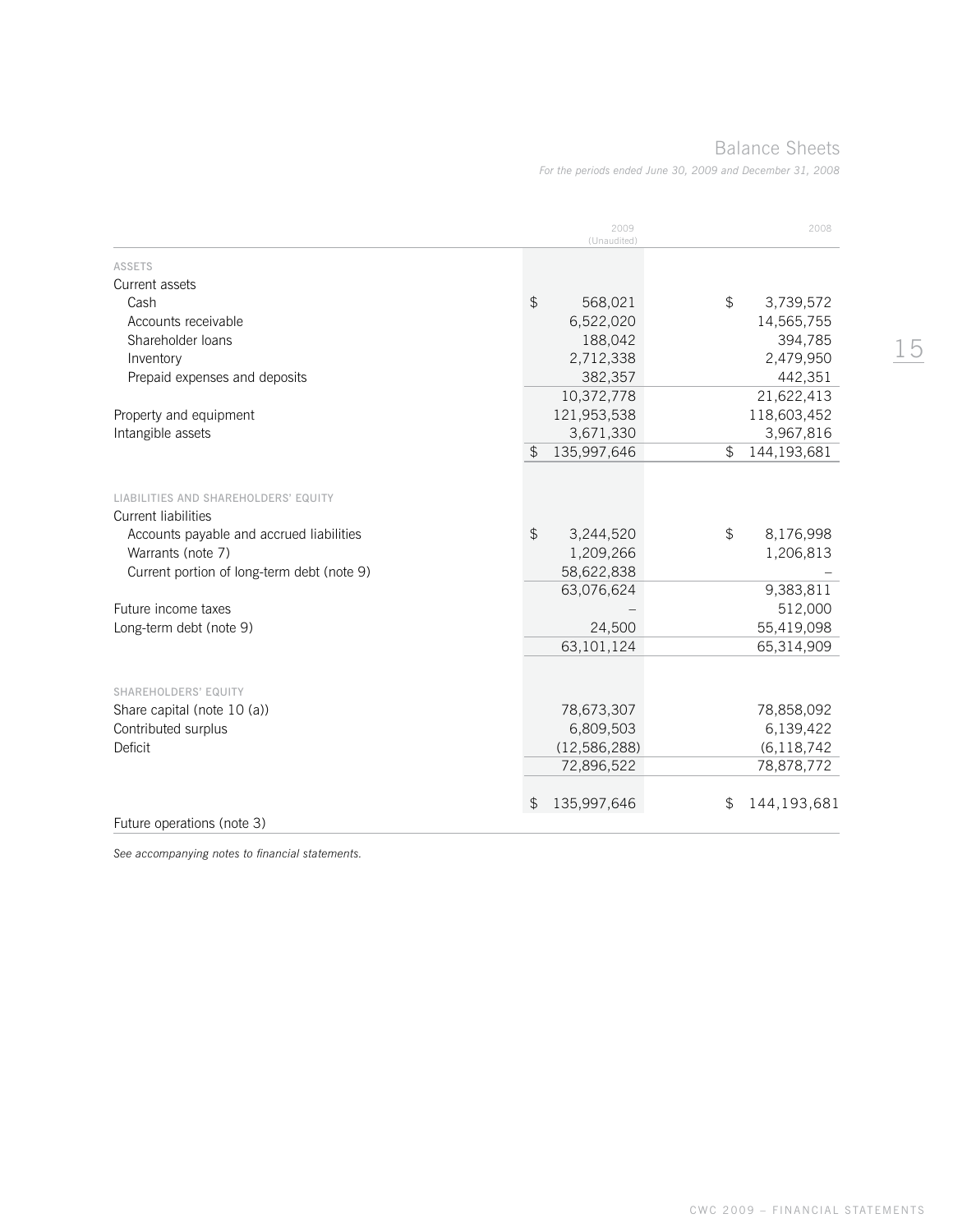Balance Sheets

*For the periods ended June 30, 2009 and December 31, 2008*

|                                                                                                                                     | 2009<br>(Unaudited)                      | 2008                         |
|-------------------------------------------------------------------------------------------------------------------------------------|------------------------------------------|------------------------------|
| <b>ASSETS</b>                                                                                                                       |                                          |                              |
| Current assets                                                                                                                      |                                          |                              |
| Cash                                                                                                                                | $\textcircled{f}$<br>568,021             | \$<br>3,739,572              |
| Accounts receivable                                                                                                                 | 6,522,020                                | 14,565,755                   |
| Shareholder loans                                                                                                                   | 188,042                                  | 394,785                      |
| Inventory                                                                                                                           | 2,712,338                                | 2,479,950                    |
| Prepaid expenses and deposits                                                                                                       | 382,357                                  | 442,351                      |
|                                                                                                                                     | 10,372,778                               | 21,622,413                   |
| Property and equipment                                                                                                              | 121,953,538                              | 118,603,452                  |
| Intangible assets                                                                                                                   | 3,671,330                                | 3,967,816                    |
|                                                                                                                                     | $\mathfrak{P}$<br>135,997,646            | \$<br>144,193,681            |
| LIABILITIES AND SHAREHOLDERS' EQUITY<br><b>Current liabilities</b><br>Accounts payable and accrued liabilities<br>Warrants (note 7) | $\mathfrak{S}$<br>3,244,520<br>1,209,266 | \$<br>8,176,998<br>1,206,813 |
| Current portion of long-term debt (note 9)                                                                                          | 58,622,838                               |                              |
|                                                                                                                                     | 63,076,624                               | 9,383,811                    |
| Future income taxes                                                                                                                 |                                          | 512,000                      |
| Long-term debt (note 9)                                                                                                             | 24,500                                   | 55,419,098                   |
|                                                                                                                                     | 63,101,124                               | 65,314,909                   |
|                                                                                                                                     |                                          |                              |
| SHAREHOLDERS' EQUITY                                                                                                                |                                          |                              |
| Share capital (note 10 (a))                                                                                                         | 78,673,307                               | 78,858,092                   |
| Contributed surplus                                                                                                                 | 6,809,503                                | 6,139,422                    |
| Deficit                                                                                                                             | (12,586,288)                             | (6, 118, 742)                |
|                                                                                                                                     | 72,896,522                               | 78,878,772                   |
|                                                                                                                                     | 135,997,646<br>\$                        | 144,193,681<br>\$.           |
| Future operations (note 3)                                                                                                          |                                          |                              |

*See accompanying notes to financial statements.*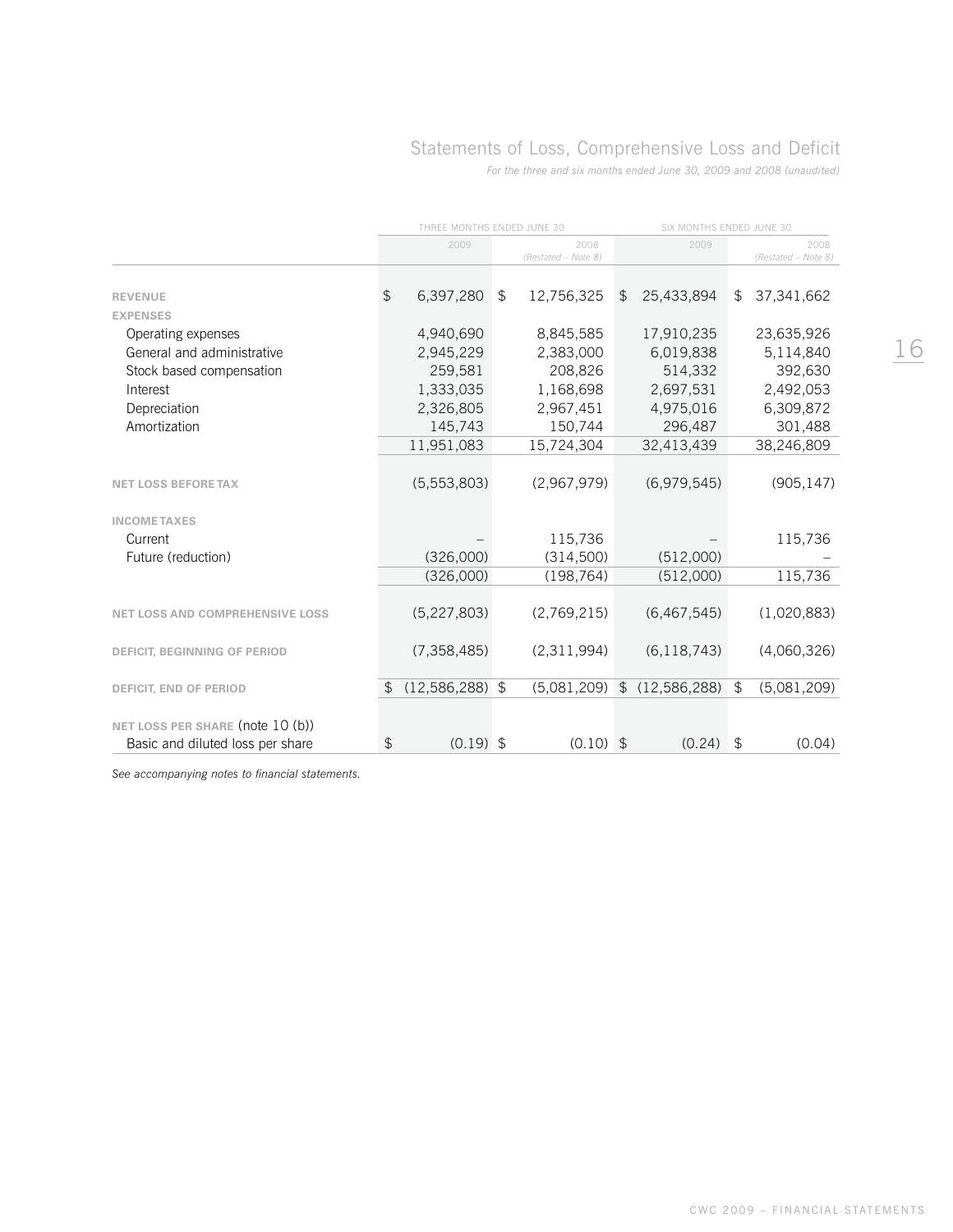# Statements of Loss, Comprehensive Loss and Deficit

*For the three and six months ended June 30, 2009 and 2008 (unaudited)*

|                                        | THREE MONTHS ENDED JUNE 30 |               |                |                             | SIX MONTHS ENDED JUNE 30 |                |    |                             |
|----------------------------------------|----------------------------|---------------|----------------|-----------------------------|--------------------------|----------------|----|-----------------------------|
|                                        |                            | 2009          |                | 2008<br>(Restated - Note 8) |                          | 2009           |    | 2008<br>(Restated - Note 8) |
|                                        |                            |               |                |                             |                          |                |    |                             |
| <b>REVENUE</b>                         | \$                         | 6,397,280     | \$             | 12,756,325                  | \$                       | 25,433,894     | \$ | 37,341,662                  |
| <b>EXPENSES</b>                        |                            |               |                |                             |                          |                |    |                             |
| Operating expenses                     |                            | 4,940,690     |                | 8,845,585                   |                          | 17,910,235     |    | 23,635,926                  |
| General and administrative             |                            | 2,945,229     |                | 2,383,000                   |                          | 6,019,838      |    | 5,114,840                   |
| Stock based compensation               |                            | 259,581       |                | 208,826                     |                          | 514,332        |    | 392,630                     |
| Interest                               |                            | 1,333,035     |                | 1,168,698                   |                          | 2,697,531      |    | 2,492,053                   |
| Depreciation                           |                            | 2,326,805     |                | 2,967,451                   |                          | 4,975,016      |    | 6,309,872                   |
| Amortization                           |                            | 145,743       |                | 150,744                     |                          | 296,487        |    | 301,488                     |
|                                        |                            | 11,951,083    |                | 15,724,304                  |                          | 32,413,439     |    | 38,246,809                  |
| <b>NET LOSS BEFORE TAX</b>             |                            | (5,553,803)   |                | (2,967,979)                 |                          | (6,979,545)    |    | (905, 147)                  |
| <b>INCOMETAXES</b>                     |                            |               |                |                             |                          |                |    |                             |
| Current                                |                            |               |                | 115,736                     |                          |                |    | 115,736                     |
| Future (reduction)                     |                            | (326,000)     |                | (314,500)                   |                          | (512,000)      |    |                             |
|                                        |                            | (326,000)     |                | (198, 764)                  |                          | (512,000)      |    | 115,736                     |
| <b>NET LOSS AND COMPREHENSIVE LOSS</b> |                            | (5, 227, 803) |                | (2,769,215)                 |                          | (6,467,545)    |    | (1,020,883)                 |
|                                        |                            |               |                |                             |                          |                |    |                             |
| <b>DEFICIT, BEGINNING OF PERIOD</b>    |                            | (7, 358, 485) |                | (2,311,994)                 |                          | (6, 118, 743)  |    | (4,060,326)                 |
| DEFICIT, END OF PERIOD                 | \$                         | (12,586,288)  | $\mathfrak{L}$ | (5,081,209)                 | $\mathfrak{L}$           | (12, 586, 288) | \$ | (5,081,209)                 |
|                                        |                            |               |                |                             |                          |                |    |                             |
| NET LOSS PER SHARE (note 10 (b))       |                            |               |                |                             |                          |                |    |                             |
| Basic and diluted loss per share       | $\mathfrak{S}$             | $(0.19)$ \$   |                | $(0.10)$ \$                 |                          | (0.24)         | \$ | (0.04)                      |

*See accompanying notes to financial statements.*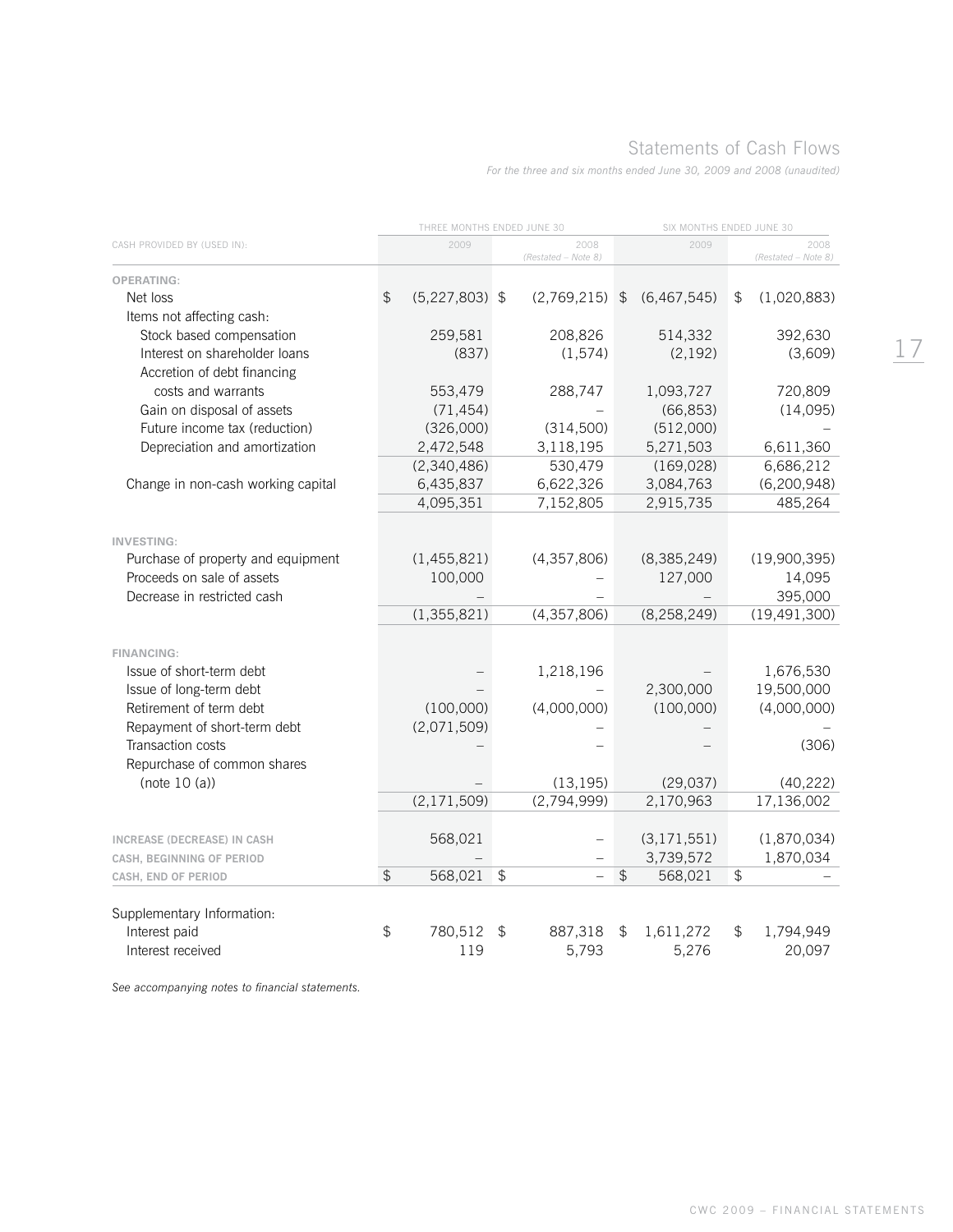# Statements of Cash Flows

*For the three and six months ended June 30, 2009 and 2008 (unaudited)*

| 2009<br>2008<br>2009<br>CASH PROVIDED BY (USED IN):<br>2008<br>(Restated - Note 8)<br>(Restated - Note 8)<br><b>OPERATING:</b><br>\$<br>$(5,227,803)$ \$<br>(6, 467, 545)<br>(1,020,883)<br>Net loss<br>$(2,769,215)$ \$<br>\$<br>Items not affecting cash:<br>Stock based compensation<br>208,826<br>514,332<br>392,630<br>259,581<br>Interest on shareholder loans<br>(3,609)<br>(837)<br>(1,574)<br>(2, 192)<br>Accretion of debt financing<br>1,093,727<br>720,809<br>costs and warrants<br>553,479<br>288,747<br>(71, 454)<br>(66, 853)<br>(14,095)<br>Gain on disposal of assets<br>Future income tax (reduction)<br>(326,000)<br>(314,500)<br>(512,000)<br>2,472,548<br>3,118,195<br>5,271,503<br>6,611,360<br>Depreciation and amortization<br>530,479<br>6,686,212<br>(2,340,486)<br>(169, 028)<br>6,622,326<br>(6, 200, 948)<br>Change in non-cash working capital<br>6,435,837<br>3,084,763<br>4,095,351<br>7,152,805<br>2,915,735<br>485,264<br><b>INVESTING:</b> |
|-------------------------------------------------------------------------------------------------------------------------------------------------------------------------------------------------------------------------------------------------------------------------------------------------------------------------------------------------------------------------------------------------------------------------------------------------------------------------------------------------------------------------------------------------------------------------------------------------------------------------------------------------------------------------------------------------------------------------------------------------------------------------------------------------------------------------------------------------------------------------------------------------------------------------------------------------------------------------------|
|                                                                                                                                                                                                                                                                                                                                                                                                                                                                                                                                                                                                                                                                                                                                                                                                                                                                                                                                                                               |
|                                                                                                                                                                                                                                                                                                                                                                                                                                                                                                                                                                                                                                                                                                                                                                                                                                                                                                                                                                               |
|                                                                                                                                                                                                                                                                                                                                                                                                                                                                                                                                                                                                                                                                                                                                                                                                                                                                                                                                                                               |
|                                                                                                                                                                                                                                                                                                                                                                                                                                                                                                                                                                                                                                                                                                                                                                                                                                                                                                                                                                               |
|                                                                                                                                                                                                                                                                                                                                                                                                                                                                                                                                                                                                                                                                                                                                                                                                                                                                                                                                                                               |
|                                                                                                                                                                                                                                                                                                                                                                                                                                                                                                                                                                                                                                                                                                                                                                                                                                                                                                                                                                               |
|                                                                                                                                                                                                                                                                                                                                                                                                                                                                                                                                                                                                                                                                                                                                                                                                                                                                                                                                                                               |
|                                                                                                                                                                                                                                                                                                                                                                                                                                                                                                                                                                                                                                                                                                                                                                                                                                                                                                                                                                               |
|                                                                                                                                                                                                                                                                                                                                                                                                                                                                                                                                                                                                                                                                                                                                                                                                                                                                                                                                                                               |
|                                                                                                                                                                                                                                                                                                                                                                                                                                                                                                                                                                                                                                                                                                                                                                                                                                                                                                                                                                               |
|                                                                                                                                                                                                                                                                                                                                                                                                                                                                                                                                                                                                                                                                                                                                                                                                                                                                                                                                                                               |
|                                                                                                                                                                                                                                                                                                                                                                                                                                                                                                                                                                                                                                                                                                                                                                                                                                                                                                                                                                               |
|                                                                                                                                                                                                                                                                                                                                                                                                                                                                                                                                                                                                                                                                                                                                                                                                                                                                                                                                                                               |
|                                                                                                                                                                                                                                                                                                                                                                                                                                                                                                                                                                                                                                                                                                                                                                                                                                                                                                                                                                               |
|                                                                                                                                                                                                                                                                                                                                                                                                                                                                                                                                                                                                                                                                                                                                                                                                                                                                                                                                                                               |
|                                                                                                                                                                                                                                                                                                                                                                                                                                                                                                                                                                                                                                                                                                                                                                                                                                                                                                                                                                               |
| (8, 385, 249)<br>(19,900,395)<br>Purchase of property and equipment<br>(1,455,821)<br>(4,357,806)                                                                                                                                                                                                                                                                                                                                                                                                                                                                                                                                                                                                                                                                                                                                                                                                                                                                             |
| Proceeds on sale of assets<br>127,000<br>100,000<br>14,095                                                                                                                                                                                                                                                                                                                                                                                                                                                                                                                                                                                                                                                                                                                                                                                                                                                                                                                    |
| 395,000<br>Decrease in restricted cash                                                                                                                                                                                                                                                                                                                                                                                                                                                                                                                                                                                                                                                                                                                                                                                                                                                                                                                                        |
| (1, 355, 821)<br>(4, 357, 806)<br>(8, 258, 249)<br>(19, 491, 300)                                                                                                                                                                                                                                                                                                                                                                                                                                                                                                                                                                                                                                                                                                                                                                                                                                                                                                             |
|                                                                                                                                                                                                                                                                                                                                                                                                                                                                                                                                                                                                                                                                                                                                                                                                                                                                                                                                                                               |
| <b>FINANCING:</b>                                                                                                                                                                                                                                                                                                                                                                                                                                                                                                                                                                                                                                                                                                                                                                                                                                                                                                                                                             |
| 1,676,530<br>Issue of short-term debt<br>1,218,196                                                                                                                                                                                                                                                                                                                                                                                                                                                                                                                                                                                                                                                                                                                                                                                                                                                                                                                            |
| 2,300,000<br>19,500,000<br>Issue of long-term debt                                                                                                                                                                                                                                                                                                                                                                                                                                                                                                                                                                                                                                                                                                                                                                                                                                                                                                                            |
| (100,000)<br>(100,000)<br>(4,000,000)<br>Retirement of term debt<br>(4,000,000)                                                                                                                                                                                                                                                                                                                                                                                                                                                                                                                                                                                                                                                                                                                                                                                                                                                                                               |
| (2,071,509)<br>Repayment of short-term debt                                                                                                                                                                                                                                                                                                                                                                                                                                                                                                                                                                                                                                                                                                                                                                                                                                                                                                                                   |
| Transaction costs<br>(306)                                                                                                                                                                                                                                                                                                                                                                                                                                                                                                                                                                                                                                                                                                                                                                                                                                                                                                                                                    |
| Repurchase of common shares                                                                                                                                                                                                                                                                                                                                                                                                                                                                                                                                                                                                                                                                                                                                                                                                                                                                                                                                                   |
| (note $10(a)$ )<br>(13, 195)<br>(29, 037)<br>(40, 222)                                                                                                                                                                                                                                                                                                                                                                                                                                                                                                                                                                                                                                                                                                                                                                                                                                                                                                                        |
| (2,794,999)<br>2,170,963<br>17,136,002<br>(2, 171, 509)                                                                                                                                                                                                                                                                                                                                                                                                                                                                                                                                                                                                                                                                                                                                                                                                                                                                                                                       |
|                                                                                                                                                                                                                                                                                                                                                                                                                                                                                                                                                                                                                                                                                                                                                                                                                                                                                                                                                                               |
| 568,021<br>(3, 171, 551)<br>(1,870,034)<br><b>INCREASE (DECREASE) IN CASH</b><br>3,739,572                                                                                                                                                                                                                                                                                                                                                                                                                                                                                                                                                                                                                                                                                                                                                                                                                                                                                    |
| 1,870,034<br>CASH, BEGINNING OF PERIOD<br>$\mathfrak{P}$<br>$\mathfrak{D}$<br>568,021<br>$\mathfrak{P}$<br>$\textcircled{f}$<br>568,021<br>$\equiv$                                                                                                                                                                                                                                                                                                                                                                                                                                                                                                                                                                                                                                                                                                                                                                                                                           |
| CASH, END OF PERIOD                                                                                                                                                                                                                                                                                                                                                                                                                                                                                                                                                                                                                                                                                                                                                                                                                                                                                                                                                           |
| Supplementary Information:                                                                                                                                                                                                                                                                                                                                                                                                                                                                                                                                                                                                                                                                                                                                                                                                                                                                                                                                                    |
| \$<br>780,512<br>887,318<br>1,611,272<br>1,794,949<br>Interest paid<br>\$<br>\$<br>\$                                                                                                                                                                                                                                                                                                                                                                                                                                                                                                                                                                                                                                                                                                                                                                                                                                                                                         |
| 119<br>5,793<br>5,276<br>20,097<br>Interest received                                                                                                                                                                                                                                                                                                                                                                                                                                                                                                                                                                                                                                                                                                                                                                                                                                                                                                                          |

*See accompanying notes to financial statements.*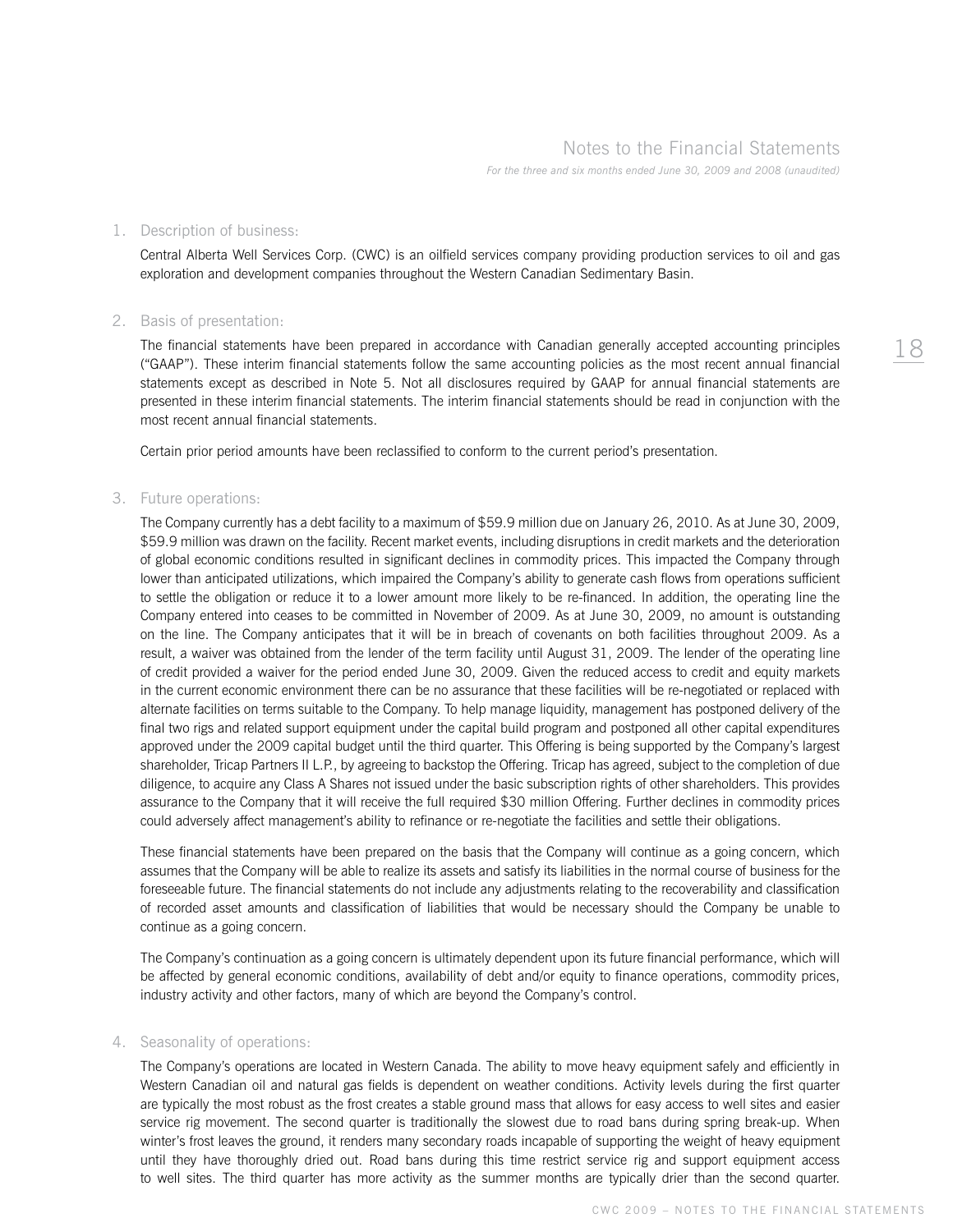#### 1. Description of business:

 Central Alberta Well Services Corp. (CWC) is an oilfield services company providing production services to oil and gas exploration and development companies throughout the Western Canadian Sedimentary Basin.

#### 2. Basis of presentation:

 The financial statements have been prepared in accordance with Canadian generally accepted accounting principles ("GAAP"). These interim financial statements follow the same accounting policies as the most recent annual financial statements except as described in Note 5. Not all disclosures required by GAAP for annual financial statements are presented in these interim financial statements. The interim financial statements should be read in conjunction with the most recent annual financial statements.

Certain prior period amounts have been reclassified to conform to the current period's presentation.

### 3. Future operations:

 The Company currently has a debt facility to a maximum of \$59.9 million due on January 26, 2010. As at June 30, 2009, \$59.9 million was drawn on the facility. Recent market events, including disruptions in credit markets and the deterioration of global economic conditions resulted in significant declines in commodity prices. This impacted the Company through lower than anticipated utilizations, which impaired the Company's ability to generate cash flows from operations sufficient to settle the obligation or reduce it to a lower amount more likely to be re-financed. In addition, the operating line the Company entered into ceases to be committed in November of 2009. As at June 30, 2009, no amount is outstanding on the line. The Company anticipates that it will be in breach of covenants on both facilities throughout 2009. As a result, a waiver was obtained from the lender of the term facility until August 31, 2009. The lender of the operating line of credit provided a waiver for the period ended June 30, 2009. Given the reduced access to credit and equity markets in the current economic environment there can be no assurance that these facilities will be re-negotiated or replaced with alternate facilities on terms suitable to the Company. To help manage liquidity, management has postponed delivery of the final two rigs and related support equipment under the capital build program and postponed all other capital expenditures approved under the 2009 capital budget until the third quarter. This Offering is being supported by the Company's largest shareholder, Tricap Partners II L.P., by agreeing to backstop the Offering. Tricap has agreed, subject to the completion of due diligence, to acquire any Class A Shares not issued under the basic subscription rights of other shareholders. This provides assurance to the Company that it will receive the full required \$30 million Offering. Further declines in commodity prices could adversely affect management's ability to refinance or re-negotiate the facilities and settle their obligations.

These financial statements have been prepared on the basis that the Company will continue as a going concern, which assumes that the Company will be able to realize its assets and satisfy its liabilities in the normal course of business for the foreseeable future. The financial statements do not include any adjustments relating to the recoverability and classification of recorded asset amounts and classification of liabilities that would be necessary should the Company be unable to continue as a going concern.

 The Company's continuation as a going concern is ultimately dependent upon its future financial performance, which will be affected by general economic conditions, availability of debt and/or equity to finance operations, commodity prices, industry activity and other factors, many of which are beyond the Company's control.

#### 4. Seasonality of operations:

 The Company's operations are located in Western Canada. The ability to move heavy equipment safely and efficiently in Western Canadian oil and natural gas fields is dependent on weather conditions. Activity levels during the first quarter are typically the most robust as the frost creates a stable ground mass that allows for easy access to well sites and easier service rig movement. The second quarter is traditionally the slowest due to road bans during spring break-up. When winter's frost leaves the ground, it renders many secondary roads incapable of supporting the weight of heavy equipment until they have thoroughly dried out. Road bans during this time restrict service rig and support equipment access to well sites. The third quarter has more activity as the summer months are typically drier than the second quarter.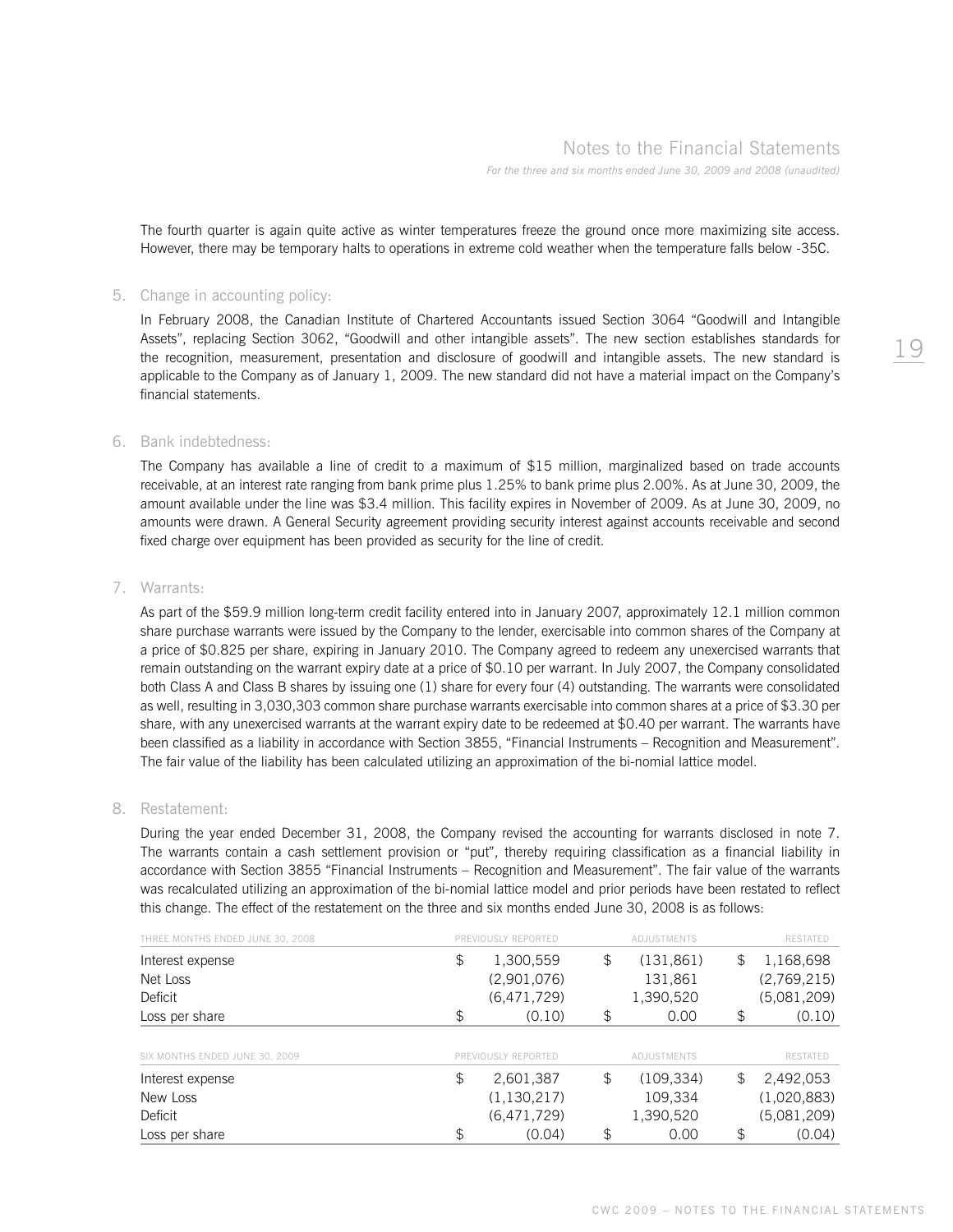The fourth quarter is again quite active as winter temperatures freeze the ground once more maximizing site access. However, there may be temporary halts to operations in extreme cold weather when the temperature falls below -35C.

#### 5. Change in accounting policy:

 In February 2008, the Canadian Institute of Chartered Accountants issued Section 3064 "Goodwill and Intangible Assets", replacing Section 3062, "Goodwill and other intangible assets". The new section establishes standards for the recognition, measurement, presentation and disclosure of goodwill and intangible assets. The new standard is applicable to the Company as of January 1, 2009. The new standard did not have a material impact on the Company's financial statements.

#### 6. Bank indebtedness:

 The Company has available a line of credit to a maximum of \$15 million, marginalized based on trade accounts receivable, at an interest rate ranging from bank prime plus 1.25% to bank prime plus 2.00%. As at June 30, 2009, the amount available under the line was \$3.4 million. This facility expires in November of 2009. As at June 30, 2009, no amounts were drawn. A General Security agreement providing security interest against accounts receivable and second fixed charge over equipment has been provided as security for the line of credit.

### 7. Warrants:

 As part of the \$59.9 million long-term credit facility entered into in January 2007, approximately 12.1 million common share purchase warrants were issued by the Company to the lender, exercisable into common shares of the Company at a price of \$0.825 per share, expiring in January 2010. The Company agreed to redeem any unexercised warrants that remain outstanding on the warrant expiry date at a price of \$0.10 per warrant. In July 2007, the Company consolidated both Class A and Class B shares by issuing one (1) share for every four (4) outstanding. The warrants were consolidated as well, resulting in 3,030,303 common share purchase warrants exercisable into common shares at a price of \$3.30 per share, with any unexercised warrants at the warrant expiry date to be redeemed at \$0.40 per warrant. The warrants have been classified as a liability in accordance with Section 3855, "Financial Instruments – Recognition and Measurement". The fair value of the liability has been calculated utilizing an approximation of the bi-nomial lattice model.

#### 8. Restatement:

 During the year ended December 31, 2008, the Company revised the accounting for warrants disclosed in note 7. The warrants contain a cash settlement provision or "put", thereby requiring classification as a financial liability in accordance with Section 3855 "Financial Instruments – Recognition and Measurement". The fair value of the warrants was recalculated utilizing an approximation of the bi-nomial lattice model and prior periods have been restated to reflect this change. The effect of the restatement on the three and six months ended June 30, 2008 is as follows:

| THREE MONTHS ENDED JUNE 30, 2008 | PREVIOUSLY REPORTED | ADJUSTMENTS      | <b>RESTATED</b> |
|----------------------------------|---------------------|------------------|-----------------|
| Interest expense                 | \$<br>1,300,559     | \$<br>(131, 861) | \$<br>1,168,698 |
| Net Loss                         | (2,901,076)         | 131,861          | (2,769,215)     |
| Deficit                          | (6,471,729)         | 1,390,520        | (5.081, 209)    |
| Loss per share                   | \$<br>(0.10)        | \$<br>0.00       | \$<br>(0.10)    |
|                                  |                     |                  |                 |
| SIX MONTHS ENDED JUNE 30, 2009   | PREVIOUSLY REPORTED | ADJUSTMENTS      | <b>RESTATED</b> |
| Interest expense                 | \$<br>2,601,387     | \$<br>(109, 334) | \$<br>2,492,053 |
| New Loss                         | (1, 130, 217)       | 109,334          | (1,020,883)     |
| Deficit                          | (6,471,729)         | 1,390,520        | (5,081,209)     |
| Loss per share                   | \$<br>(0.04)        | \$<br>0.00       | \$<br>(0.04)    |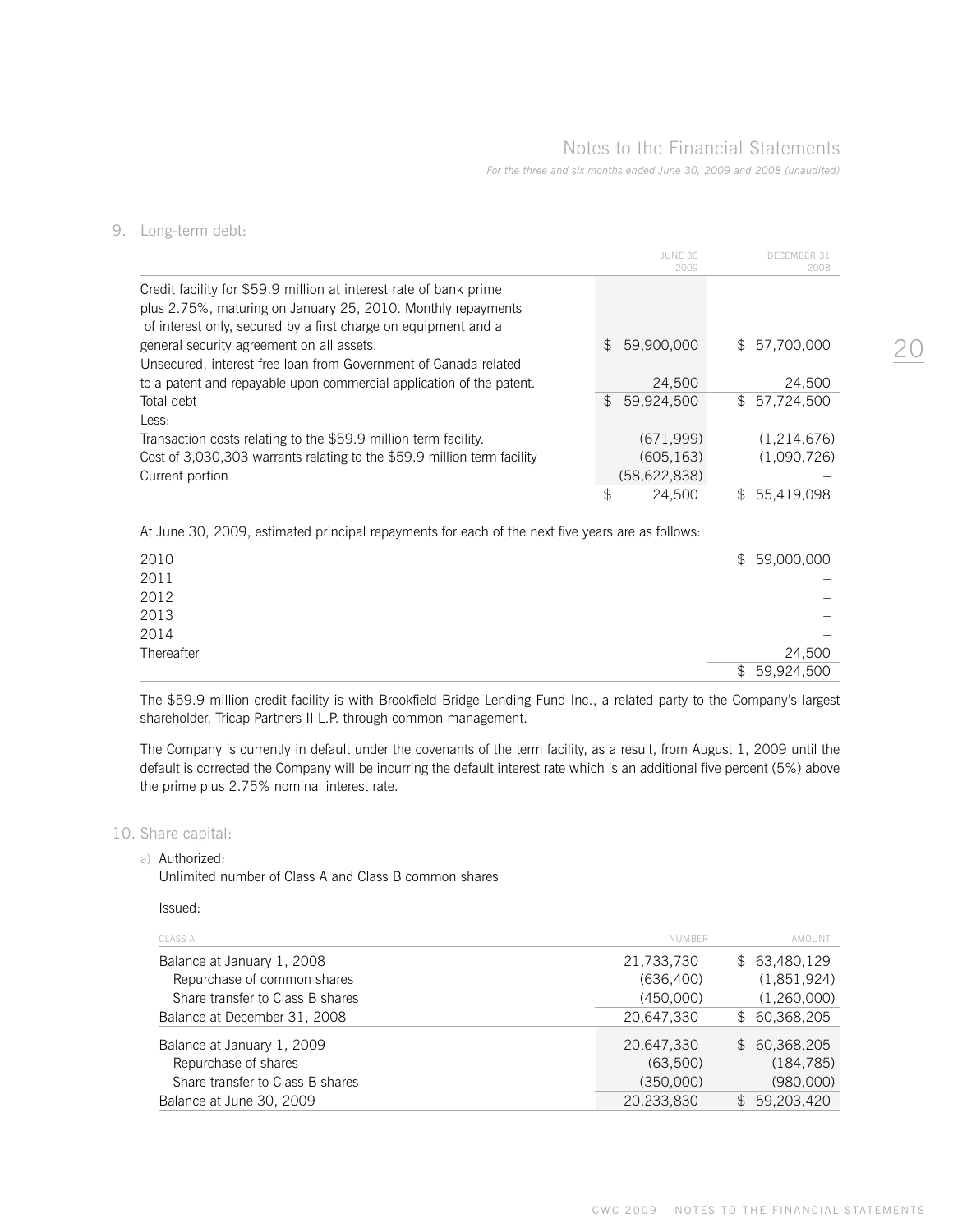# Notes to the Financial Statements

*For the three and six months ended June 30, 2009 and 2008 (unaudited)*

 JUNE 30 DECEMBER 31 2009 2008 Credit facility for \$59.9 million at interest rate of bank prime plus 2.75%, maturing on January 25, 2010. Monthly repayments of interest only, secured by a first charge on equipment and a general security agreement on all assets. \$ 59,900,000 \$ 57,700,000 Unsecured, interest-free loan from Government of Canada related to a patent and repayable upon commercial application of the patent. 24,500 24,500 Total debt  $$59,924,500$   $$57,724,500$ Less: Transaction costs relating to the \$59.9 million term facility. (671,999) (1,214,676) Cost of 3,030,303 warrants relating to the \$59.9 million term facility (605,163) (1,090,726) Current portion (58,622,838) – \$ 24,500 \$ 55,419,098

At June 30, 2009, estimated principal repayments for each of the next five years are as follows:

| 2010       | \$59,000,000                   |
|------------|--------------------------------|
| 2011       | $\overline{\phantom{0}}$       |
| 2012       | $\overline{\phantom{0}}$       |
| 2013       | $\overline{\phantom{0}}$       |
| 2014       | $\qquad \qquad \longleftarrow$ |
| Thereafter | 24,500                         |
|            | 59,924,500<br>$\mathcal{L}$    |

The \$59.9 million credit facility is with Brookfield Bridge Lending Fund Inc., a related party to the Company's largest shareholder, Tricap Partners II L.P. through common management.

The Company is currently in default under the covenants of the term facility, as a result, from August 1, 2009 until the default is corrected the Company will be incurring the default interest rate which is an additional five percent (5%) above the prime plus 2.75% nominal interest rate.

#### 10. Share capital:

9. Long-term debt:

a) Authorized:

Unlimited number of Class A and Class B common shares

Issued:

| <b>CLASS A</b>                   | <b>NUMBER</b> | AMOUNT       |
|----------------------------------|---------------|--------------|
| Balance at January 1, 2008       | 21,733,730    | \$63,480,129 |
| Repurchase of common shares      | (636, 400)    | (1,851,924)  |
| Share transfer to Class B shares | (450,000)     | (1,260,000)  |
| Balance at December 31, 2008     | 20,647,330    | \$60,368,205 |
| Balance at January 1, 2009       | 20,647,330    | \$60,368,205 |
| Repurchase of shares             | (63,500)      | (184, 785)   |
| Share transfer to Class B shares | (350,000)     | (980,000)    |
| Balance at June 30, 2009         | 20,233,830    | \$59,203,420 |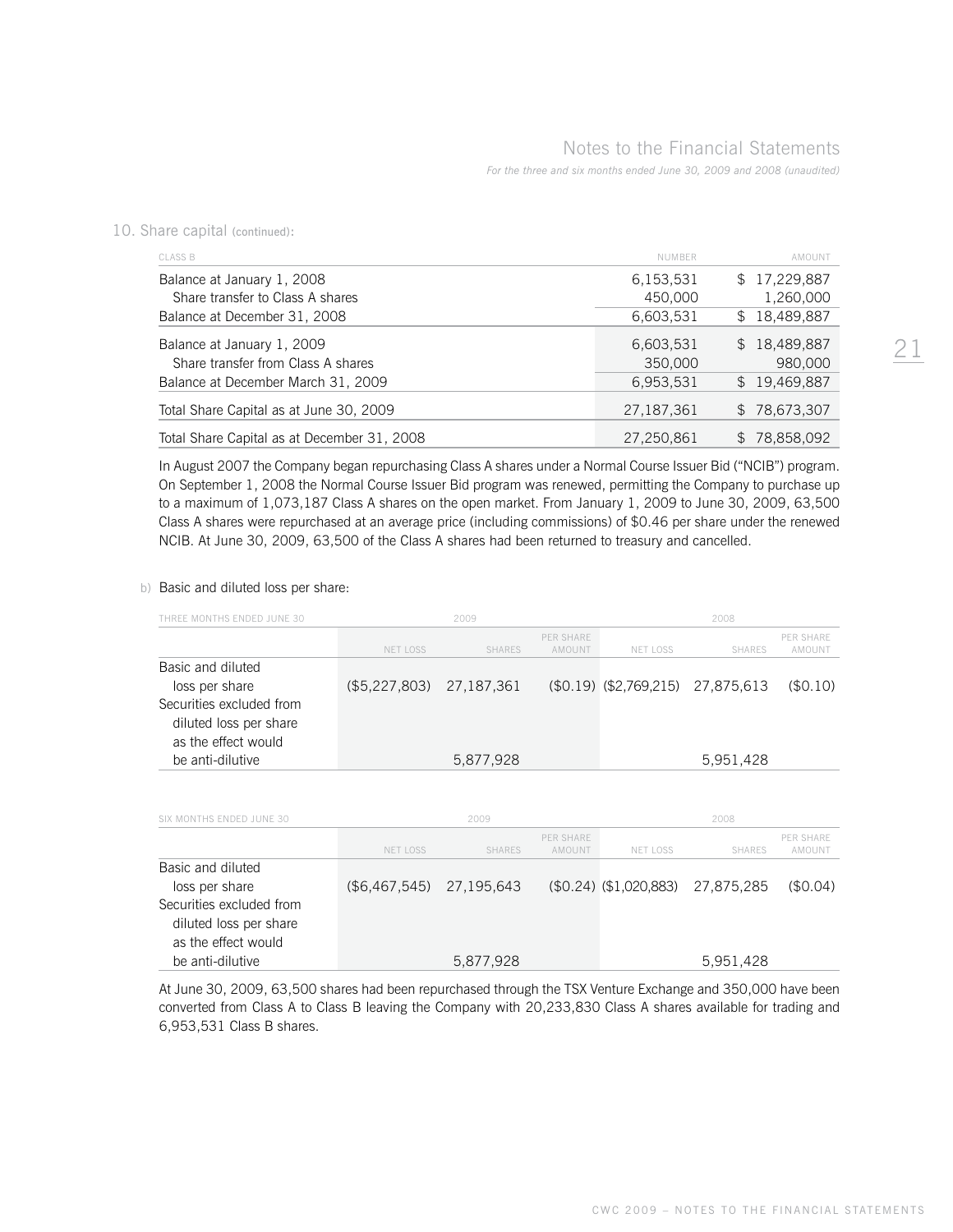10. Share capital (continued):

| <b>CLASS B</b>                              | <b>NUMBER</b> | AMOUNT       |
|---------------------------------------------|---------------|--------------|
| Balance at January 1, 2008                  | 6,153,531     | \$17,229,887 |
| Share transfer to Class A shares            | 450,000       | 1,260,000    |
| Balance at December 31, 2008                | 6,603,531     | \$18,489,887 |
| Balance at January 1, 2009                  | 6,603,531     | \$18,489,887 |
| Share transfer from Class A shares          | 350,000       | 980,000      |
| Balance at December March 31, 2009          | 6,953,531     | \$19,469,887 |
| Total Share Capital as at June 30, 2009     | 27,187,361    | \$78,673,307 |
| Total Share Capital as at December 31, 2008 | 27,250,861    | 78,858,092   |

 In August 2007 the Company began repurchasing Class A shares under a Normal Course Issuer Bid ("NCIB") program. On September 1, 2008 the Normal Course Issuer Bid program was renewed, permitting the Company to purchase up to a maximum of 1,073,187 Class A shares on the open market. From January 1, 2009 to June 30, 2009, 63,500 Class A shares were repurchased at an average price (including commissions) of \$0.46 per share under the renewed NCIB. At June 30, 2009, 63,500 of the Class A shares had been returned to treasury and cancelled.

#### b) Basic and diluted loss per share:

| THREE MONTHS ENDED JUNE 30 |                 | 2009          |                            |                                     | 2008          |                            |
|----------------------------|-----------------|---------------|----------------------------|-------------------------------------|---------------|----------------------------|
|                            | <b>NET LOSS</b> | <b>SHARES</b> | <b>PER SHARE</b><br>AMOUNT | <b>NET LOSS</b>                     | <b>SHARES</b> | <b>PER SHARE</b><br>AMOUNT |
| Basic and diluted          |                 |               |                            |                                     |               |                            |
| loss per share             | (\$5,227,803)   | 27, 187, 361  |                            | $($0.19)$ $($2,769,215)$ 27,875,613 |               | (\$0.10)                   |
| Securities excluded from   |                 |               |                            |                                     |               |                            |
| diluted loss per share     |                 |               |                            |                                     |               |                            |
| as the effect would        |                 |               |                            |                                     |               |                            |
| be anti-dilutive           |                 | 5,877,928     |                            |                                     | 5,951,428     |                            |
| SIX MONTHS ENDED JUNE 30   |                 | 2009          |                            |                                     | 2008          |                            |
|                            | <b>NET LOSS</b> | <b>SHARES</b> | <b>PER SHARE</b><br>AMOUNT | <b>NET LOSS</b>                     | <b>SHARES</b> | PER SHARE<br>AMOUNT        |
| Basic and diluted          |                 |               |                            |                                     |               |                            |
| loss per share             | (\$6,467,545)   | 27,195,643    |                            | $$0.24)$ $$1.020,883)$              | 27,875,285    | (\$0.04)                   |
| Securities excluded from   |                 |               |                            |                                     |               |                            |
| diluted loss per share     |                 |               |                            |                                     |               |                            |
| as the effect would        |                 |               |                            |                                     |               |                            |
| be anti-dilutive           |                 | 5,877,928     |                            |                                     | 5,951,428     |                            |

 At June 30, 2009, 63,500 shares had been repurchased through the TSX Venture Exchange and 350,000 have been converted from Class A to Class B leaving the Company with 20,233,830 Class A shares available for trading and 6,953,531 Class B shares.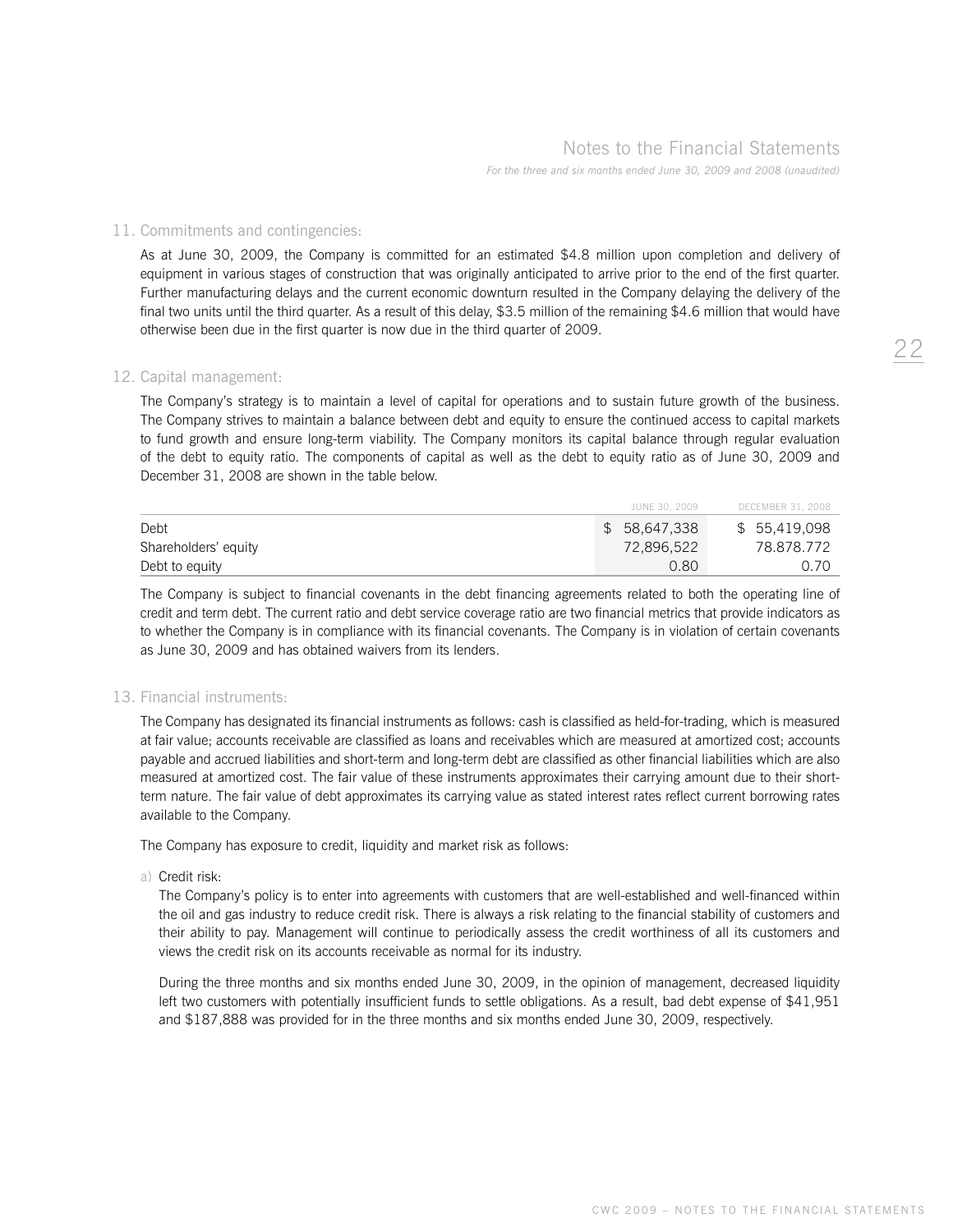# Notes to the Financial Statements

*For the three and six months ended June 30, 2009 and 2008 (unaudited)*

### 11. Commitments and contingencies:

 As at June 30, 2009, the Company is committed for an estimated \$4.8 million upon completion and delivery of equipment in various stages of construction that was originally anticipated to arrive prior to the end of the first quarter. Further manufacturing delays and the current economic downturn resulted in the Company delaying the delivery of the final two units until the third quarter. As a result of this delay, \$3.5 million of the remaining \$4.6 million that would have otherwise been due in the first quarter is now due in the third quarter of 2009.

#### 12. Capital management:

 The Company's strategy is to maintain a level of capital for operations and to sustain future growth of the business. The Company strives to maintain a balance between debt and equity to ensure the continued access to capital markets to fund growth and ensure long-term viability. The Company monitors its capital balance through regular evaluation of the debt to equity ratio. The components of capital as well as the debt to equity ratio as of June 30, 2009 and December 31, 2008 are shown in the table below.

|                      | JUNE 30, 2009 | DECEMBER 31, 2008 |
|----------------------|---------------|-------------------|
| Debt                 | \$58,647,338  | \$ 55,419,098     |
| Shareholders' equity | 72,896,522    | 78.878.772        |
| Debt to equity       | 0.80          | 0.70              |

 The Company is subject to financial covenants in the debt financing agreements related to both the operating line of credit and term debt. The current ratio and debt service coverage ratio are two financial metrics that provide indicators as to whether the Company is in compliance with its financial covenants. The Company is in violation of certain covenants as June 30, 2009 and has obtained waivers from its lenders.

#### 13. Financial instruments:

 The Company has designated its financial instruments as follows: cash is classified as held-for-trading, which is measured at fair value; accounts receivable are classified as loans and receivables which are measured at amortized cost; accounts payable and accrued liabilities and short-term and long-term debt are classified as other financial liabilities which are also measured at amortized cost. The fair value of these instruments approximates their carrying amount due to their shortterm nature. The fair value of debt approximates its carrying value as stated interest rates reflect current borrowing rates available to the Company.

The Company has exposure to credit, liquidity and market risk as follows:

a) Credit risk:

 The Company's policy is to enter into agreements with customers that are well-established and well-financed within the oil and gas industry to reduce credit risk. There is always a risk relating to the financial stability of customers and their ability to pay. Management will continue to periodically assess the credit worthiness of all its customers and views the credit risk on its accounts receivable as normal for its industry.

 During the three months and six months ended June 30, 2009, in the opinion of management, decreased liquidity left two customers with potentially insufficient funds to settle obligations. As a result, bad debt expense of \$41,951 and \$187,888 was provided for in the three months and six months ended June 30, 2009, respectively.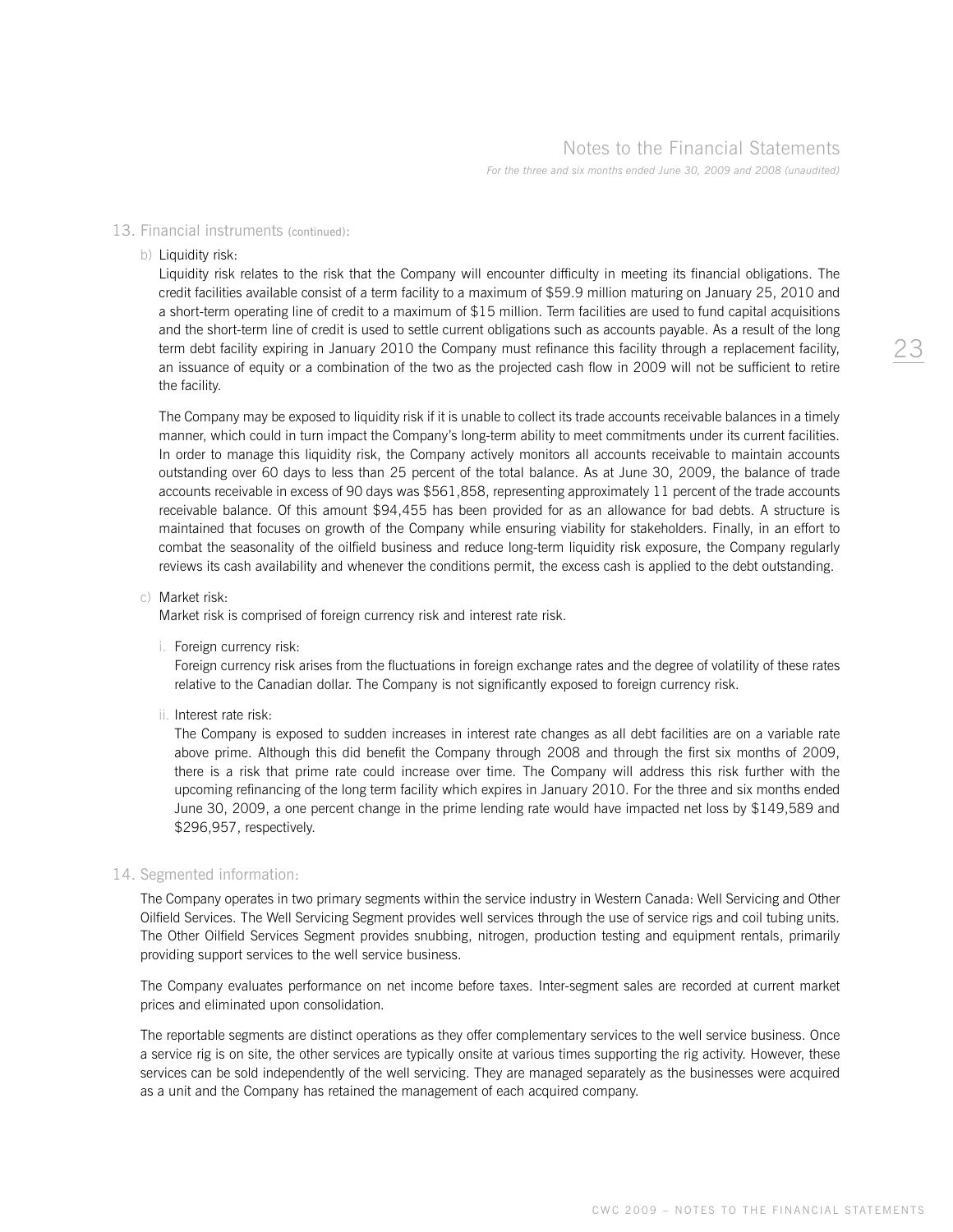## 13. Financial instruments (continued):

#### b) Liquidity risk:

 Liquidity risk relates to the risk that the Company will encounter difficulty in meeting its financial obligations. The credit facilities available consist of a term facility to a maximum of \$59.9 million maturing on January 25, 2010 and a short-term operating line of credit to a maximum of \$15 million. Term facilities are used to fund capital acquisitions and the short-term line of credit is used to settle current obligations such as accounts payable. As a result of the long term debt facility expiring in January 2010 the Company must refinance this facility through a replacement facility, an issuance of equity or a combination of the two as the projected cash flow in 2009 will not be sufficient to retire the facility.

 The Company may be exposed to liquidity risk if it is unable to collect its trade accounts receivable balances in a timely manner, which could in turn impact the Company's long-term ability to meet commitments under its current facilities. In order to manage this liquidity risk, the Company actively monitors all accounts receivable to maintain accounts outstanding over 60 days to less than 25 percent of the total balance. As at June 30, 2009, the balance of trade accounts receivable in excess of 90 days was \$561,858, representing approximately 11 percent of the trade accounts receivable balance. Of this amount \$94,455 has been provided for as an allowance for bad debts. A structure is maintained that focuses on growth of the Company while ensuring viability for stakeholders. Finally, in an effort to combat the seasonality of the oilfield business and reduce long-term liquidity risk exposure, the Company regularly reviews its cash availability and whenever the conditions permit, the excess cash is applied to the debt outstanding.

#### c) Market risk:

Market risk is comprised of foreign currency risk and interest rate risk.

i. Foreign currency risk:

 Foreign currency risk arises from the fluctuations in foreign exchange rates and the degree of volatility of these rates relative to the Canadian dollar. The Company is not significantly exposed to foreign currency risk.

ii. Interest rate risk:

 The Company is exposed to sudden increases in interest rate changes as all debt facilities are on a variable rate above prime. Although this did benefit the Company through 2008 and through the first six months of 2009, there is a risk that prime rate could increase over time. The Company will address this risk further with the upcoming refinancing of the long term facility which expires in January 2010. For the three and six months ended June 30, 2009, a one percent change in the prime lending rate would have impacted net loss by \$149,589 and \$296,957, respectively.

#### 14. Segmented information:

 The Company operates in two primary segments within the service industry in Western Canada: Well Servicing and Other Oilfield Services. The Well Servicing Segment provides well services through the use of service rigs and coil tubing units. The Other Oilfield Services Segment provides snubbing, nitrogen, production testing and equipment rentals, primarily providing support services to the well service business.

 The Company evaluates performance on net income before taxes. Inter-segment sales are recorded at current market prices and eliminated upon consolidation.

 The reportable segments are distinct operations as they offer complementary services to the well service business. Once a service rig is on site, the other services are typically onsite at various times supporting the rig activity. However, these services can be sold independently of the well servicing. They are managed separately as the businesses were acquired as a unit and the Company has retained the management of each acquired company.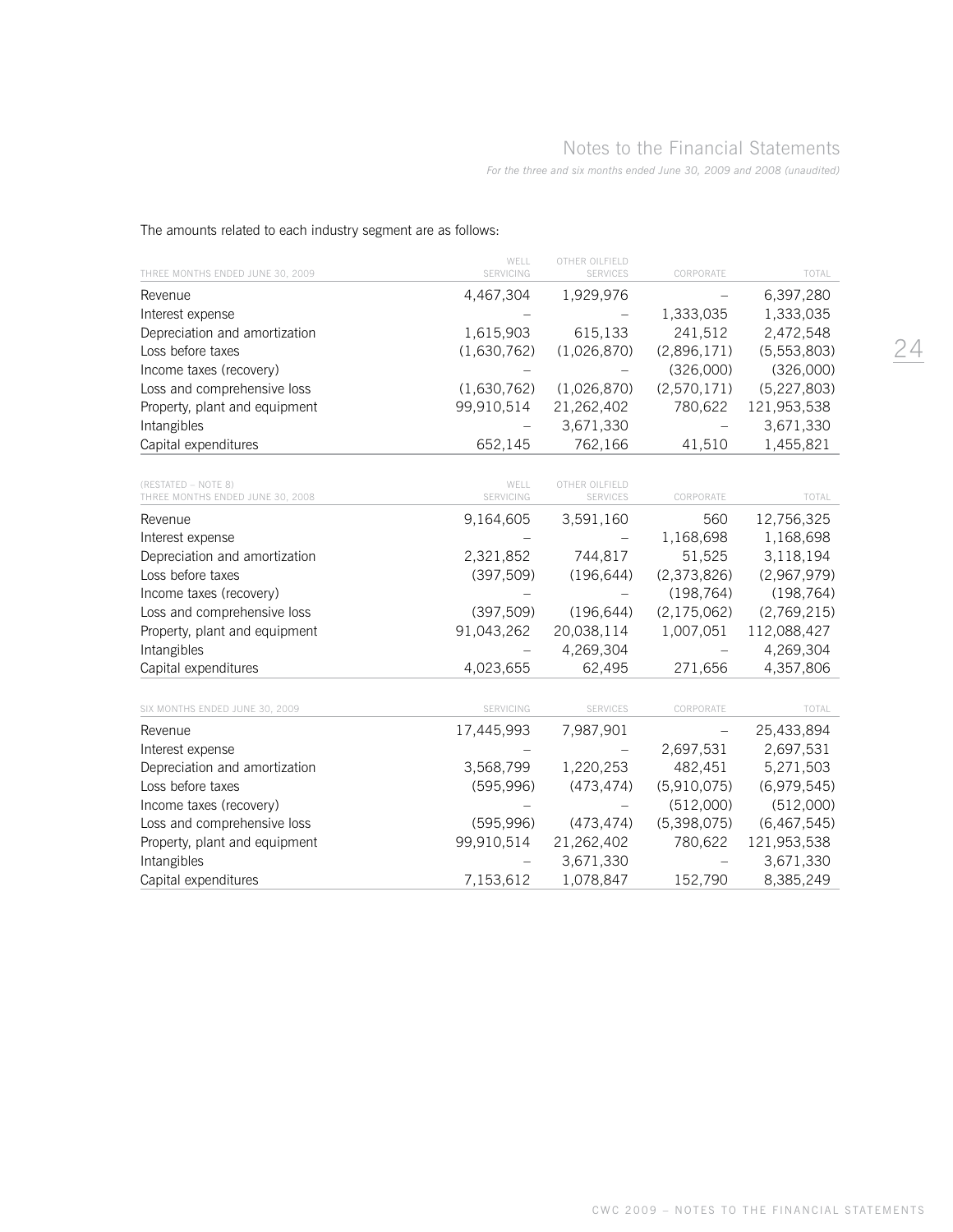# Notes to the Financial Statements

*For the three and six months ended June 30, 2009 and 2008 (unaudited)*

| THREE MONTHS ENDED JUNE 30, 2009                        | WELL<br>SERVICING | OTHER OILFIELD<br>SERVICES        | CORPORATE         | TOTAL         |
|---------------------------------------------------------|-------------------|-----------------------------------|-------------------|---------------|
| Revenue                                                 | 4,467,304         | 1,929,976                         |                   | 6,397,280     |
| Interest expense                                        |                   |                                   | 1,333,035         | 1,333,035     |
| Depreciation and amortization                           | 1,615,903         | 615,133                           | 241,512           | 2,472,548     |
| Loss before taxes                                       | (1,630,762)       | (1,026,870)                       | (2,896,171)       | (5,553,803)   |
| Income taxes (recovery)                                 |                   |                                   | (326,000)         | (326,000)     |
| Loss and comprehensive loss                             | (1,630,762)       | (1,026,870)                       | (2,570,171)       | (5, 227, 803) |
| Property, plant and equipment                           | 99,910,514        | 21,262,402                        | 780,622           | 121,953,538   |
| Intangibles                                             |                   | 3,671,330                         |                   | 3,671,330     |
| Capital expenditures                                    | 652,145           | 762,166                           | 41,510            | 1,455,821     |
| (RESTATED - NOTE 8)<br>THREE MONTHS ENDED JUNE 30, 2008 | WELL<br>SERVICING | OTHER OILFIELD<br><b>SERVICES</b> | CORPORATE         | TOTAL         |
| Revenue                                                 | 9,164,605         | 3,591,160                         | 560               | 12,756,325    |
| Interest expense                                        |                   |                                   | 1,168,698         | 1,168,698     |
| Depreciation and amortization                           | 2,321,852         | 744,817                           | 51,525            | 3,118,194     |
| Loss before taxes                                       | (397, 509)        | (196, 644)                        | (2,373,826)       | (2,967,979)   |
| Income taxes (recovery)                                 |                   |                                   | (198, 764)        | (198, 764)    |
| Loss and comprehensive loss                             | (397, 509)        | (196, 644)                        | (2, 175, 062)     | (2,769,215)   |
| Property, plant and equipment                           | 91,043,262        | 20,038,114                        | 1,007,051         | 112,088,427   |
| Intangibles                                             |                   | 4,269,304                         |                   | 4,269,304     |
| Capital expenditures                                    | 4,023,655         | 62,495                            | 271,656           | 4,357,806     |
| SIX MONTHS ENDED JUNE 30, 2009                          | SERVICING         | SERVICES                          | CORPORATE         | TOTAL         |
| Revenue                                                 | 17,445,993        | 7,987,901                         | $\qquad \qquad -$ | 25,433,894    |
| Interest expense                                        |                   |                                   | 2,697,531         | 2,697,531     |
| Depreciation and amortization                           | 3,568,799         | 1,220,253                         | 482,451           | 5,271,503     |
| Loss before taxes                                       | (595, 996)        | (473, 474)                        | (5,910,075)       | (6,979,545)   |
| Income taxes (recovery)                                 |                   |                                   | (512,000)         | (512,000)     |
| Loss and comprehensive loss                             | (595, 996)        | (473, 474)                        | (5,398,075)       | (6, 467, 545) |
| Property, plant and equipment                           | 99,910,514        | 21,262,402                        | 780,622           | 121,953,538   |
| Intangibles                                             |                   | 3,671,330                         |                   | 3,671,330     |
| Capital expenditures                                    | 7,153,612         | 1,078,847                         | 152,790           | 8,385,249     |

The amounts related to each industry segment are as follows: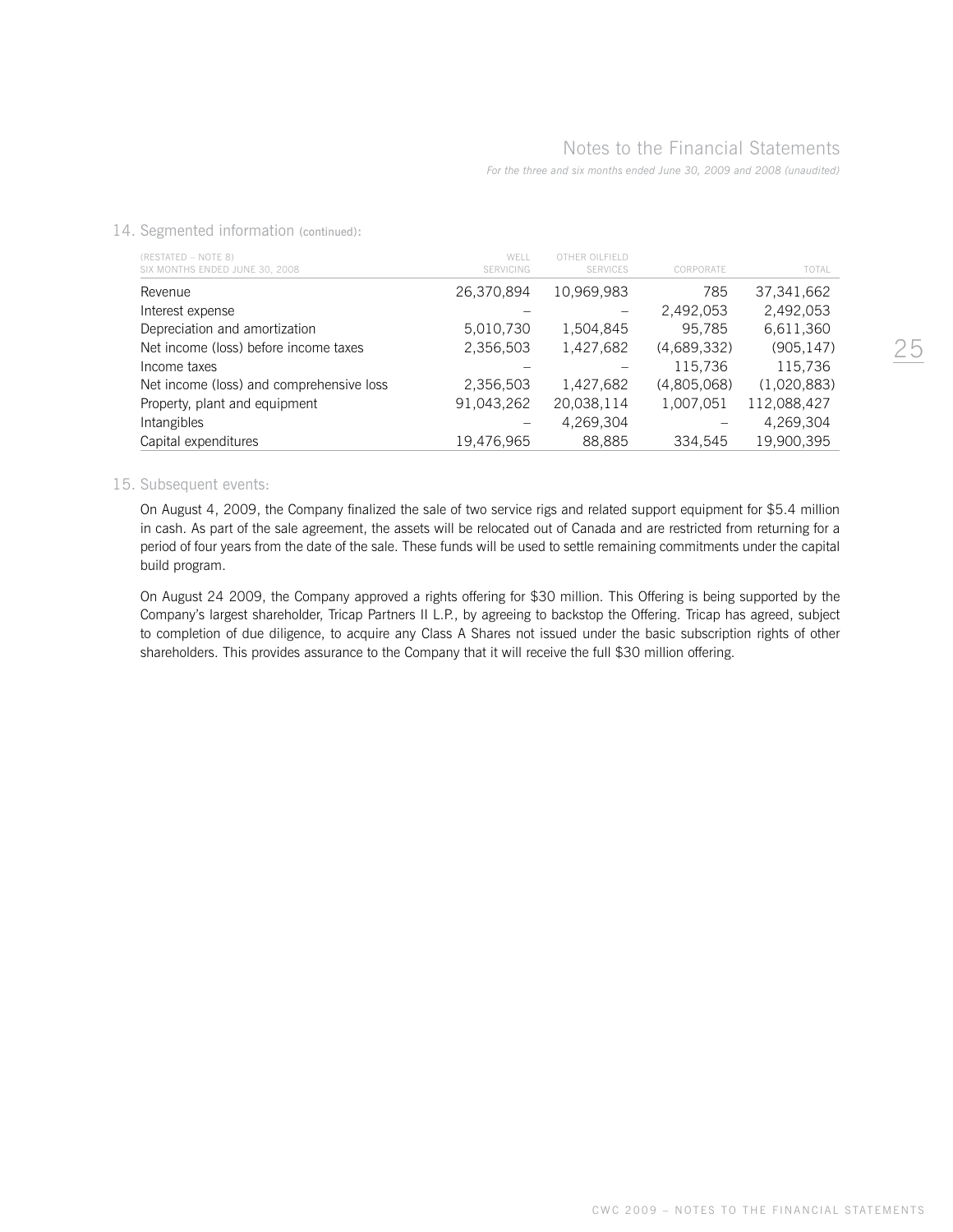14. Segmented information (continued):

| (RESTATED - NOTE 8)<br>SIX MONTHS ENDED JUNE 30, 2008 | WFII<br><b>SERVICING</b> | OTHER OILEIELD<br><b>SERVICES</b> | CORPORATE   | TOTAL       |
|-------------------------------------------------------|--------------------------|-----------------------------------|-------------|-------------|
| Revenue                                               | 26,370,894               | 10,969,983                        | 785         | 37,341,662  |
| Interest expense                                      |                          |                                   | 2,492,053   | 2,492,053   |
| Depreciation and amortization                         | 5,010,730                | 1,504,845                         | 95.785      | 6,611,360   |
| Net income (loss) before income taxes                 | 2,356,503                | 1,427,682                         | (4,689,332) | (905, 147)  |
| Income taxes                                          |                          |                                   | 115,736     | 115,736     |
| Net income (loss) and comprehensive loss              | 2,356,503                | 1,427,682                         | (4,805,068) | (1,020,883) |
| Property, plant and equipment                         | 91,043,262               | 20,038,114                        | 1,007,051   | 112,088,427 |
| Intangibles                                           |                          | 4,269,304                         |             | 4,269,304   |
| Capital expenditures                                  | 19.476.965               | 88.885                            | 334.545     | 19.900.395  |

#### 15. Subsequent events:

 On August 4, 2009, the Company finalized the sale of two service rigs and related support equipment for \$5.4 million in cash. As part of the sale agreement, the assets will be relocated out of Canada and are restricted from returning for a period of four years from the date of the sale. These funds will be used to settle remaining commitments under the capital build program.

On August 24 2009, the Company approved a rights offering for \$30 million. This Offering is being supported by the Company's largest shareholder, Tricap Partners II L.P., by agreeing to backstop the Offering. Tricap has agreed, subject to completion of due diligence, to acquire any Class A Shares not issued under the basic subscription rights of other shareholders. This provides assurance to the Company that it will receive the full \$30 million offering.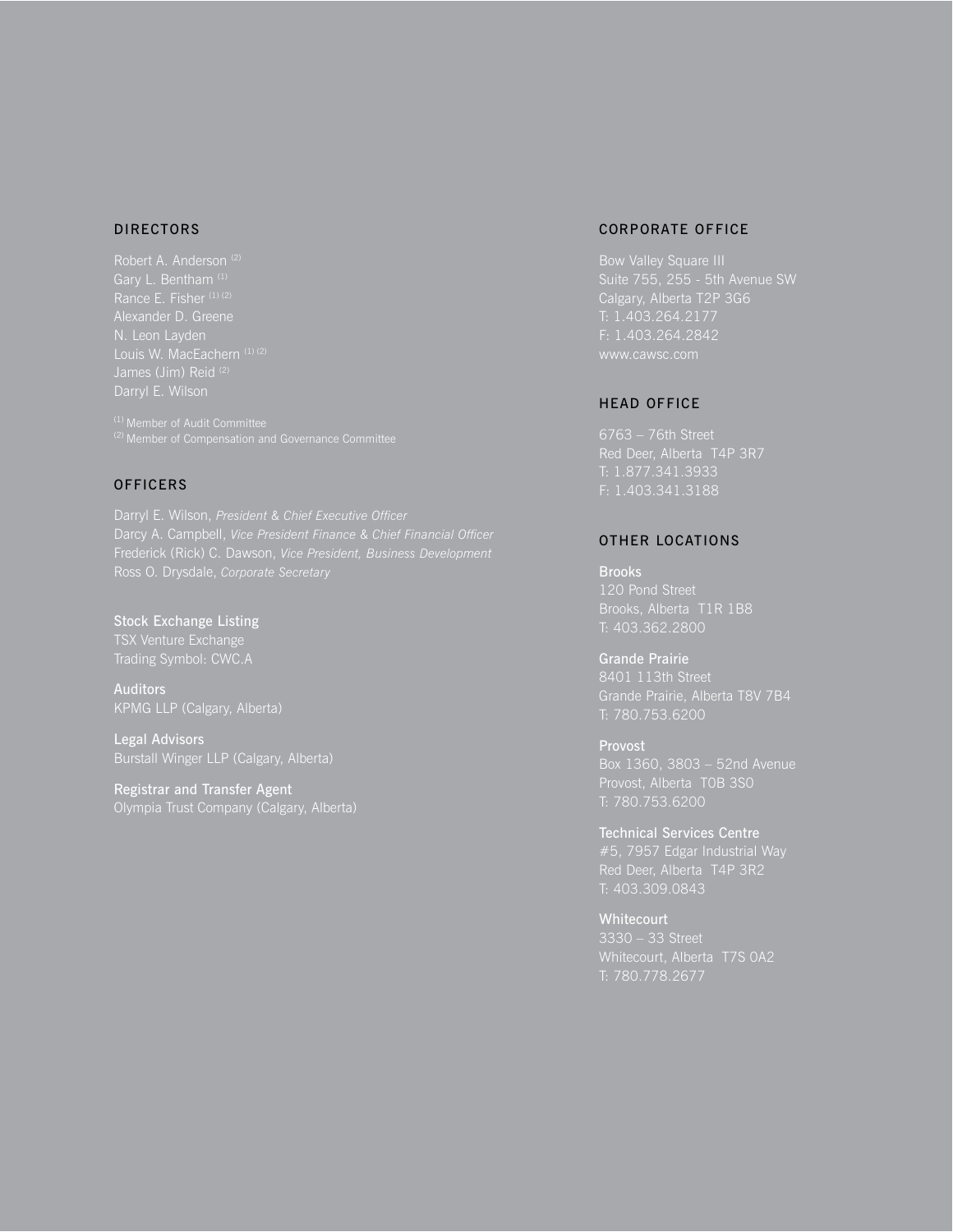# DIRECTORS

Alexander D. Greene N. Leon Layden

# **OFFICERS**

Darryl E. Wilson, *President & Chief Executive Officer*

Stock Exchange Listing

**Auditors** KPMG LLP (Calgary, Alberta)

Legal Advisors Burstall Winger LLP (Calgary, Alberta)

Registrar and Transfer Agent

## CORPORATE OFFICE

Bow Valley Square III Calgary, Alberta T2P 3G6 T: 1.403.264.2177 F: 1.403.264.2842

# HEAD OFFICE

T: 1.877.341.3933 F: 1.403.341.3188

# OTHER LOCATIONS

Brooks T: 403.362.2800

Grande Prairie 8401 113th Street Grande Prairie, Alberta T8V 7B4 T: 780.753.6200

Provost T: 780.753.6200

Technical Services Centre

**Whitecourt** Whitecourt, Alberta T7S 0A2